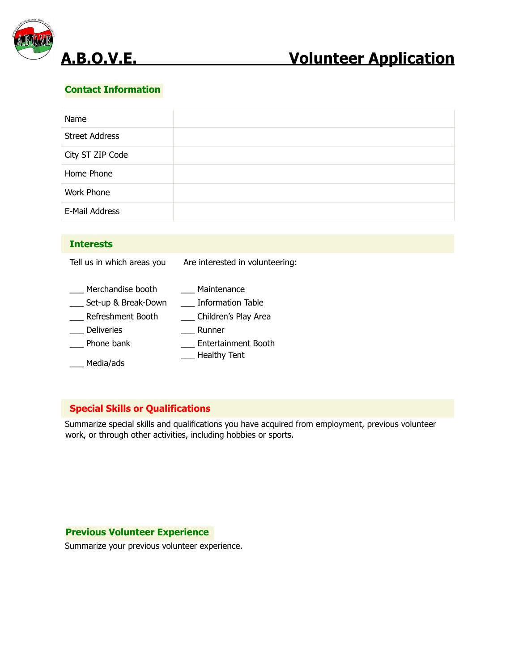

# **Contact Information**

| Name                  |  |
|-----------------------|--|
| <b>Street Address</b> |  |
| City ST ZIP Code      |  |
| Home Phone            |  |
| Work Phone            |  |
| E-Mail Address        |  |

### **Interests**

- Tell us in which areas you \_\_\_ Merchandise booth \_\_\_ Set-up & Break-Down Are interested in volunteering: \_\_\_ Maintenance \_\_\_ Information Table
- \_\_\_ Refreshment Booth \_\_ Children's Play Area
- \_\_\_ Deliveries \_\_\_ Runner
- \_\_\_ Phone bank \_\_\_ Entertainment Booth
- \_\_\_ Media/ads \_\_\_ Healthy Tent

# **Special Skills or Qualifications**

Summarize special skills and qualifications you have acquired from employment, previous volunteer work, or through other activities, including hobbies or sports.

#### **Previous Volunteer Experience**

Summarize your previous volunteer experience.